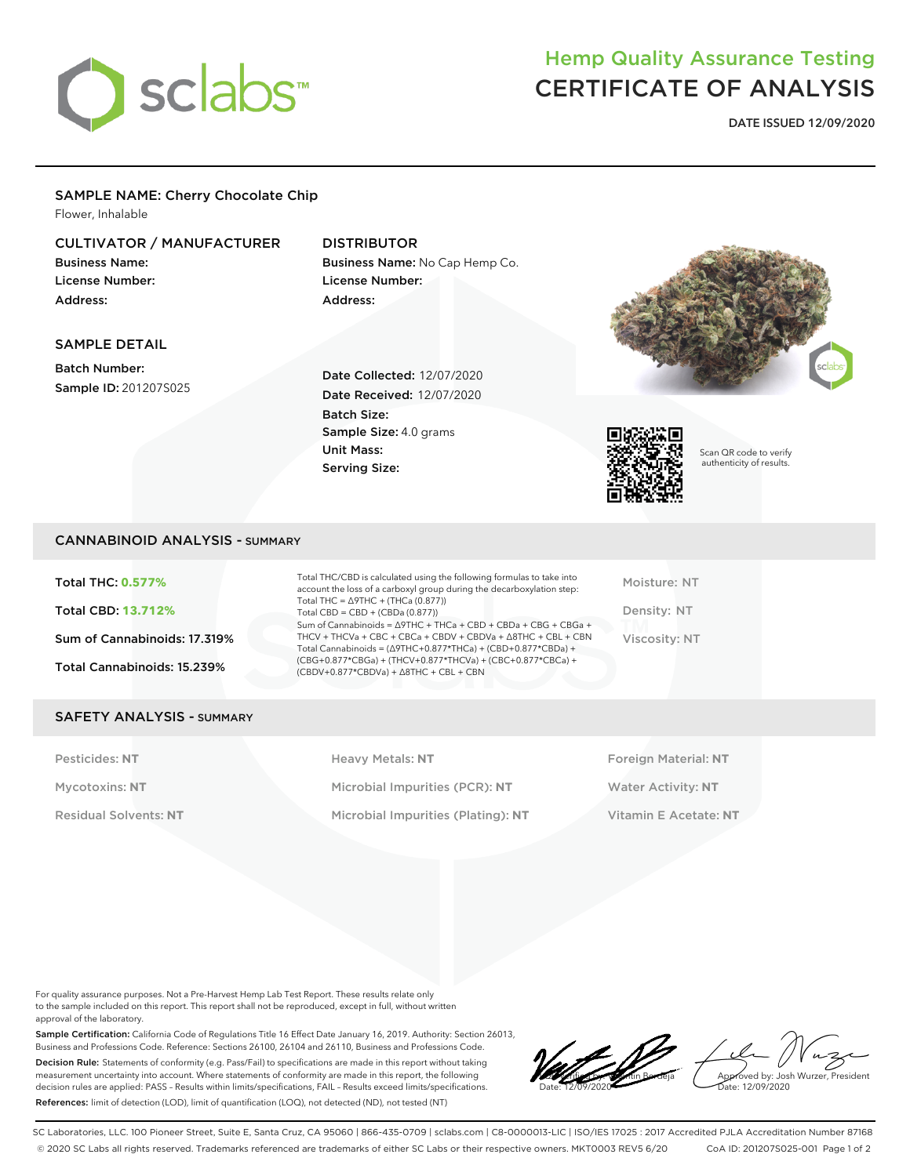

# Hemp Quality Assurance Testing CERTIFICATE OF ANALYSIS

DATE ISSUED 12/09/2020

#### SAMPLE NAME: Cherry Chocolate Chip Flower, Inhalable

### CULTIVATOR / MANUFACTURER

Business Name: License Number: Address:

SAMPLE DETAIL

## DISTRIBUTOR

Business Name: No Cap Hemp Co. License Number: Address:





Sample ID: 201207S025

Date Collected: 12/07/2020 Date Received: 12/07/2020 Batch Size: Sample Size: 4.0 grams Unit Mass: Serving Size:



Scan QR code to verify authenticity of results.

### CANNABINOID ANALYSIS - SUMMARY

Total THC: **0.577%** Total CBD: **13.712%** Sum of Cannabinoids: 17.319% Total Cannabinoids: 15.239%

Total THC/CBD is calculated using the following formulas to take into account the loss of a carboxyl group during the decarboxylation step: Total THC = ∆9THC + (THCa (0.877)) Total  $CBD = CBD + (CBDa (0.877))$ Sum of Cannabinoids = ∆9THC + THCa + CBD + CBDa + CBG + CBGa + THCV + THCVa + CBC + CBCa + CBDV + CBDVa + ∆8THC + CBL + CBN Total Cannabinoids = (∆9THC+0.877\*THCa) + (CBD+0.877\*CBDa) + (CBG+0.877\*CBGa) + (THCV+0.877\*THCVa) + (CBC+0.877\*CBCa) + (CBDV+0.877\*CBDVa) + ∆8THC + CBL + CBN

Moisture: NT Density: NT Viscosity: NT

#### SAFETY ANALYSIS - SUMMARY

Pesticides: NT **All Accords** Heavy Metals: NT **Foreign Material: NT** Pesticides: NT Mycotoxins: **NT** Microbial Impurities (PCR): **NT** Water Activity: **NT** Residual Solvents: **NT** Microbial Impurities (Plating): **NT** Vitamin E Acetate: **NT**

For quality assurance purposes. Not a Pre-Harvest Hemp Lab Test Report. These results relate only to the sample included on this report. This report shall not be reproduced, except in full, without written approval of the laboratory.

Sample Certification: California Code of Regulations Title 16 Effect Date January 16, 2019. Authority: Section 26013, Business and Professions Code. Reference: Sections 26100, 26104 and 26110, Business and Professions Code. Decision Rule: Statements of conformity (e.g. Pass/Fail) to specifications are made in this report without taking measurement uncertainty into account. Where statements of conformity are made in this report, the following decision rules are applied: PASS – Results within limits/specifications, FAIL – Results exceed limits/specifications. References: limit of detection (LOD), limit of quantification (LOQ), not detected (ND), not tested (NT)

LQC verified by: Valentin Berdeja Date: 12/09/2020

Approved by: Josh Wurzer, President ate: 12/09/2020

SC Laboratories, LLC. 100 Pioneer Street, Suite E, Santa Cruz, CA 95060 | 866-435-0709 | sclabs.com | C8-0000013-LIC | ISO/IES 17025 : 2017 Accredited PJLA Accreditation Number 87168 © 2020 SC Labs all rights reserved. Trademarks referenced are trademarks of either SC Labs or their respective owners. MKT0003 REV5 6/20 CoA ID: 201207S025-001 Page 1 of 2